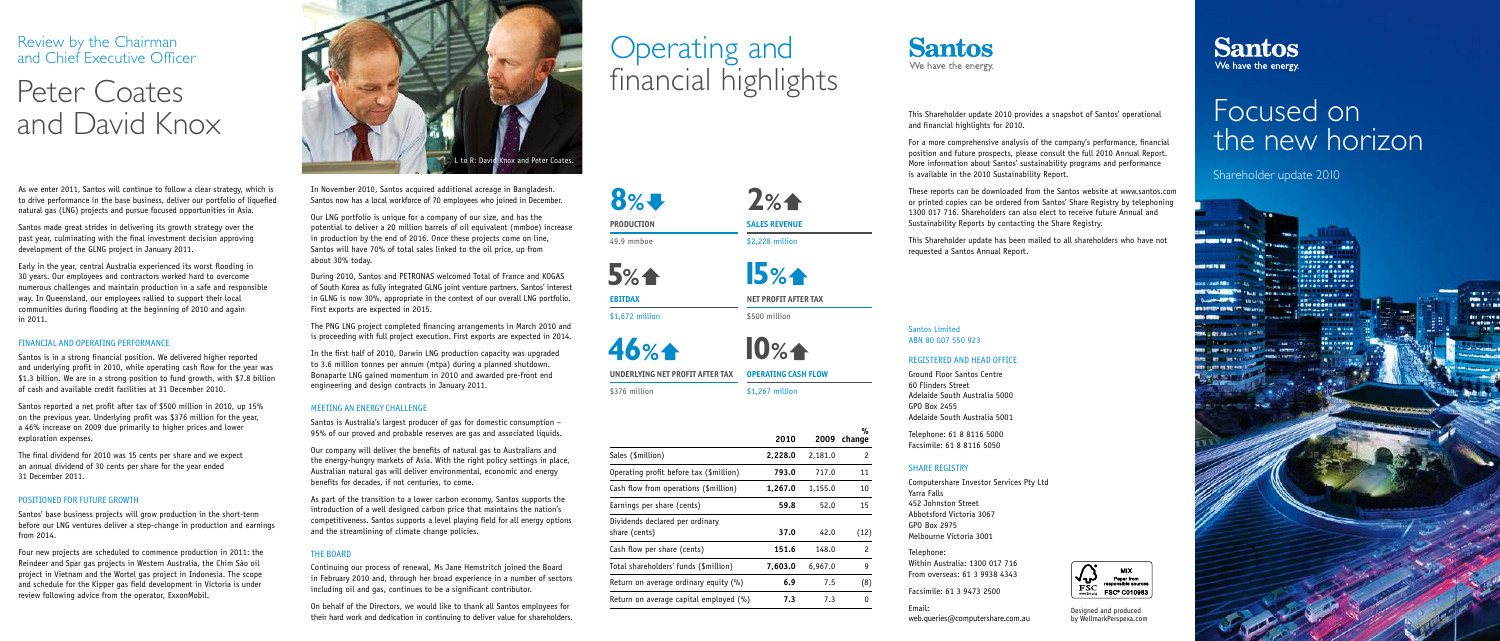Santos Limited ABN 80 007 550 923

### REGISTERED AND HEAD OFFICE

Ground Floor Santos Centre 60 Flinders Street Adelaide South Australia 5000 GPO Box 2455 Adelaide South Australia 5001

Telephone: 61 8 8116 5000 Facsimile: 61 8 8116 5050

#### SHARE REGISTRY

Computershare Investor Services Pty Ltd Yarra Falls 452 Johnston Street Abbotsford Victoria 3067 GPO Box 2975 Melbourne Victoria 3001

Telephone: Within Australia: 1300 017 716 From overseas: 61 3 9938 4343

Facsimile: 61 3 9473 2500

Email: web.queries@computershare.com.au

This Shareholder update 2010 provides a snapshot of Santos' operational



and financial highlights for 2010.

For a more comprehensive analysis of the company's performance, financial position and future prospects, please consult the full 2010 Annual Report. More information about Santos' sustainability programs and performance is available in the 2010 Sustainability Report.

These reports can be downloaded from the Santos website at www.santos.com or printed copies can be ordered from Santos' Share Registry by telephoning 1300 017 716. Shareholders can also elect to receive future Annual and Sustainability Reports by contacting the Share Registry.

This Shareholder update has been mailed to all shareholders who have not requested a Santos Annual Report.

As we enter 2011, Santos will continue to follow a clear strategy, which is to drive performance in the base business, deliver our portfolio of liquefied natural gas (LNG) projects and pursue focused opportunities in Asia.

Santos made great strides in delivering its growth strategy over the past year, culminating with the final investment decision approving development of the GLNG project in January 2011.

Early in the year, central Australia experienced its worst flooding in 30 years. Our employees and contractors worked hard to overcome numerous challenges and maintain production in a safe and responsible way. In Queensland, our employees rallied to support their local communities during flooding at the beginning of 2010 and again in 2011.

**SALES REVENUE** \$2,228 million

#### FINANCIAL AND OPERATING PERFORMANCE

Santos is in a strong financial position. We delivered higher reported and underlying profit in 2010, while operating cash flow for the year was \$1.3 billion. We are in a strong position to fund growth, with \$7.8 billion of cash and available credit facilities at 31 December 2010.

Santos reported a net profit after tax of \$500 million in 2010, up 15% on the previous year. Underlying profit was \$376 million for the year, a 46% increase on 2009 due primarily to higher prices and lower exploration expenses.

The final dividend for 2010 was 15 cents per share and we expect an annual dividend of 30 cents per share for the year ended 31 December 2011.

#### POSITIONED FOR FUTURE GROWTH

Santos' base business projects will grow production in the short-term before our LNG ventures deliver a step-change in production and earnings from 2014.

Four new projects are scheduled to commence production in 2011: the Reindeer and Spar gas projects in Western Australia, the Chim Sáo oil project in Vietnam and the Wortel gas project in Indonesia. The scope and schedule for the Kipper gas field development in Victoria is under review following advice from the operator, ExxonMobil.

> Designed and produced by WellmarkPerspexa.com

### **Santos** We have the energy.

## Focused on the new horizon

Shareholder update 2010

### Review by the Chairman and Chief Executive Officer

# Peter Coates and David Knox

# Operating and financial highlights



|                                                  |         |         | %              |
|--------------------------------------------------|---------|---------|----------------|
|                                                  | 2010    | 2009    | change         |
| Sales (\$million)                                | 2,228.0 | 2,181.0 | 2              |
| Operating profit before tax (\$million)          | 793.0   | 717.0   | 11             |
| Cash flow from operations (\$million)            | 1,267.0 | 1,155.0 | 10             |
| Earnings per share (cents)                       | 59.8    | 52.0    | 15             |
| Dividends declared per ordinary<br>share (cents) | 37.0    | 42.0    | (12)           |
| Cash flow per share (cents)                      | 151.6   | 148.0   | $\overline{c}$ |
| Total shareholders' funds (\$million)            | 7,603.0 | 6,967.0 | 9              |
| Return on average ordinary equity (%)            | 6.9     | 7.5     | (8)            |
| Return on average capital employed (%)           | 7.3     | 7.3     | $\mathbf{0}$   |
|                                                  |         |         |                |



**PRODUCTION** 49.9 mmboe

**8%**

**2%**

**NET PROFIT AFTER TAX** 

**15%**

**OPERATING CASH FLOW** 

\$500 million

\$1,267 million

**EBITDAX**  \$1,672 million

**5%**

**UNDERLYING NET PROFIT AFTER TAX** 

\$376 million

**46%**



In November 2010, Santos acquired additional acreage in Bangladesh. Santos now has a local workforce of 70 employees who joined in December.

Our LNG portfolio is unique for a company of our size, and has the potential to deliver a 20 million barrels of oil equivalent (mmboe) increase in production by the end of 2016. Once these projects come on line, Santos will have 70% of total sales linked to the oil price, up from about 30% today.

During 2010, Santos and PETRONAS welcomed Total of France and KOGAS of South Korea as fully integrated GLNG joint venture partners. Santos' interest in GLNG is now 30%, appropriate in the context of our overall LNG portfolio. First exports are expected in 2015.

The PNG LNG project completed financing arrangements in March 2010 and is proceeding with full project execution. First exports are expected in 2014.

In the first half of 2010, Darwin LNG production capacity was upgraded to 3.6 million tonnes per annum (mtpa) during a planned shutdown. Bonaparte LNG gained momentum in 2010 and awarded pre-front end engineering and design contracts in January 2011.

#### MEETING AN ENERGY CHALLENGE

Santos is Australia's largest producer of gas for domestic consumption – 95% of our proved and probable reserves are gas and associated liquids.

Our company will deliver the benefits of natural gas to Australians and the energy-hungry markets of Asia. With the right policy settings in place, Australian natural gas will deliver environmental, economic and energy benefits for decades, if not centuries, to come.

As part of the transition to a lower carbon economy, Santos supports the introduction of a well designed carbon price that maintains the nation's competitiveness. Santos supports a level playing field for all energy options and the streamlining of climate change policies.

#### THE BOARD

Continuing our process of renewal, Ms Jane Hemstritch joined the Board in February 2010 and, through her broad experience in a number of sectors including oil and gas, continues to be a significant contributor.

On behalf of the Directors, we would like to thank all Santos employees for their hard work and dedication in continuing to deliver value for shareholders.